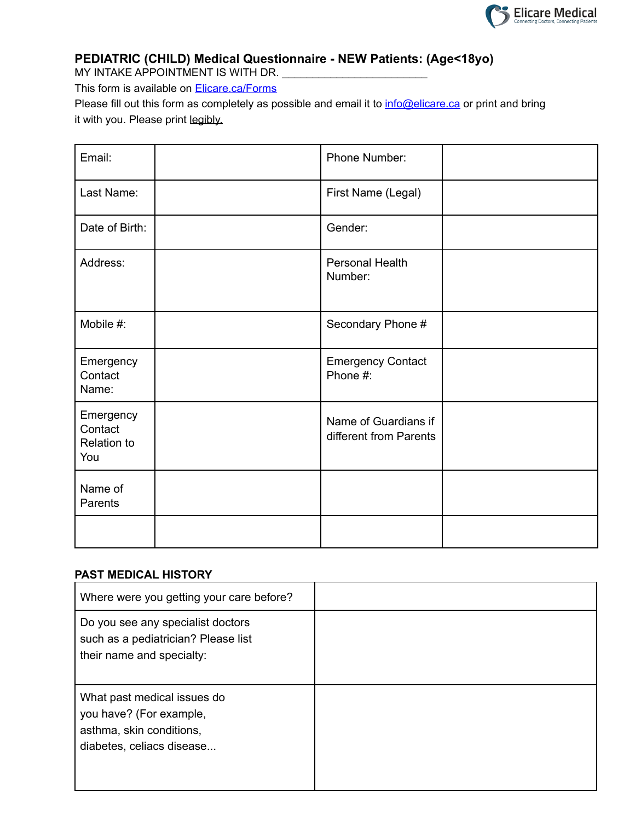

# **PEDIATRIC (CHILD) Medical Questionnaire - NEW Patients: (Age<18yo)**

MY INTAKE APPOINTMENT IS WITH DR.

This form is available on **Elicare.ca/Forms** 

Please fill out this form as completely as possible and email it to *inf[o@elicare.ca](mailto:intake@elicare.ca)* or print and bring it with you. Please print legibly.

| Email:                                     | Phone Number:                                  |  |
|--------------------------------------------|------------------------------------------------|--|
| Last Name:                                 | First Name (Legal)                             |  |
| Date of Birth:                             | Gender:                                        |  |
| Address:                                   | Personal Health<br>Number:                     |  |
| Mobile #:                                  | Secondary Phone #                              |  |
| Emergency<br>Contact<br>Name:              | <b>Emergency Contact</b><br>Phone #:           |  |
| Emergency<br>Contact<br>Relation to<br>You | Name of Guardians if<br>different from Parents |  |
| Name of<br>Parents                         |                                                |  |
|                                            |                                                |  |

### **PAST MEDICAL HISTORY**

| Where were you getting your care before?                                                                        |  |
|-----------------------------------------------------------------------------------------------------------------|--|
| Do you see any specialist doctors<br>such as a pediatrician? Please list<br>their name and specialty:           |  |
| What past medical issues do<br>you have? (For example,<br>asthma, skin conditions,<br>diabetes, celiacs disease |  |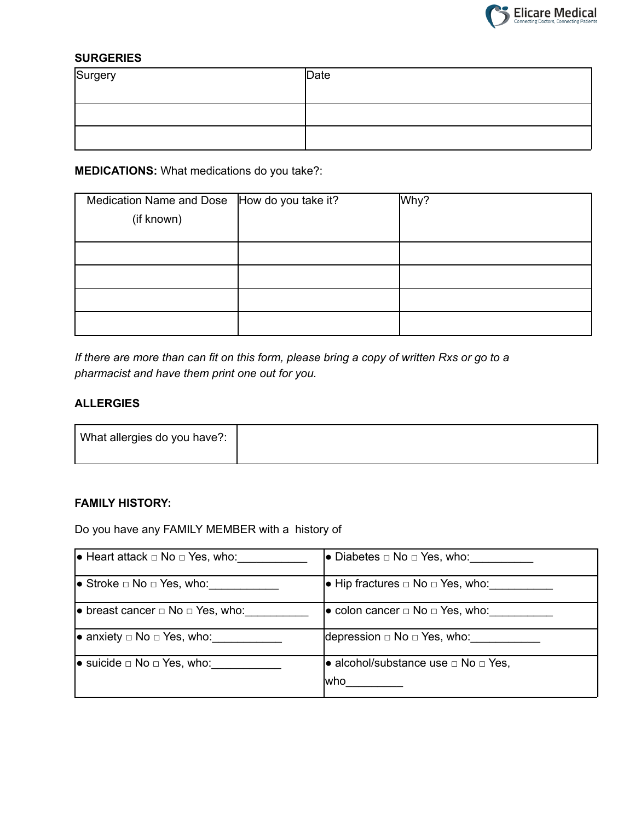

## **SURGERIES**

| Surgery | $\vert$ Date |
|---------|--------------|
|         |              |
|         |              |

## **MEDICATIONS:** What medications do you take?:

| Medication Name and Dose  How do you take it? | Why? |
|-----------------------------------------------|------|
| (if known)                                    |      |
|                                               |      |
|                                               |      |
|                                               |      |
|                                               |      |
|                                               |      |

If there are more than can fit on this form, please bring a copy of written Rxs or go to a *pharmacist and have them print one out for you.*

#### **ALLERGIES**

### **FAMILY HISTORY:**

Do you have any FAMILY MEMBER with a history of

| $\bullet$ Heart attack $\Box$ No $\Box$ Yes, who: | l• Diabetes $□$ No $□$ Yes, who:                      |
|---------------------------------------------------|-------------------------------------------------------|
| $\bullet$ Stroke $\Box$ No $\Box$ Yes, who:       | $\bullet$ Hip fractures $\Box$ No $\Box$ Yes, who:    |
| • breast cancer $\Box$ No $\Box$ Yes, who:        | $\bullet$ colon cancer $\Box$ No $\Box$ Yes, who:     |
| • anxiety $\Box$ No $\Box$ Yes, who:              | depression $\Box$ No $\Box$ Yes, who:                 |
| • suicide $□$ No $□$ Yes, who: $□$                | • alcohol/substance use $\Box$ No $\Box$ Yes,<br>lwho |